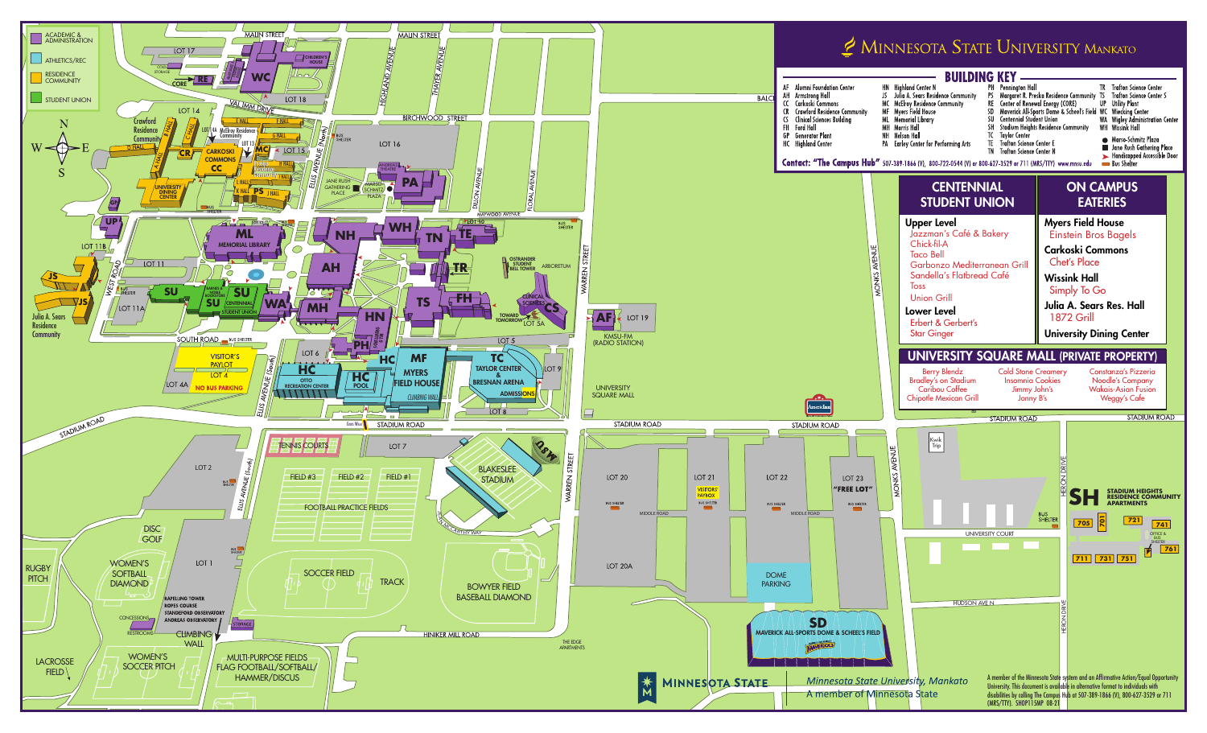